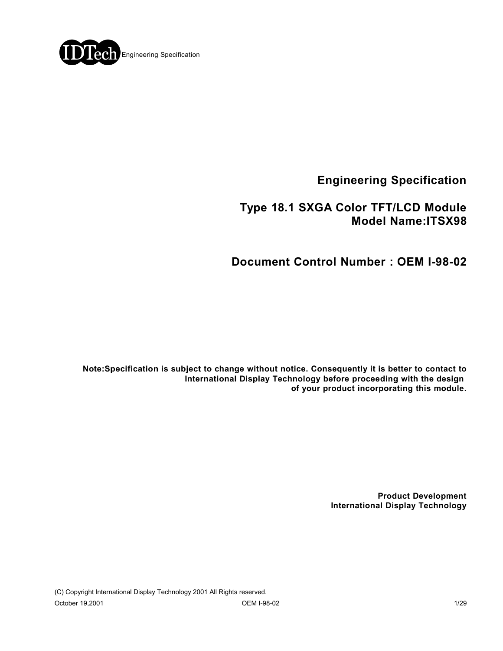

**Engineering Specification**

 **Type 18.1 SXGA Color TFT/LCD Module Model Name:ITSX98**

**Document Control Number : OEM I-98-02**

**Note:Specification is subject to change without notice. Consequently it is better to contact to International Display Technology before proceeding with the design of your product incorporating this module.**

> **Product Development International Display Technology**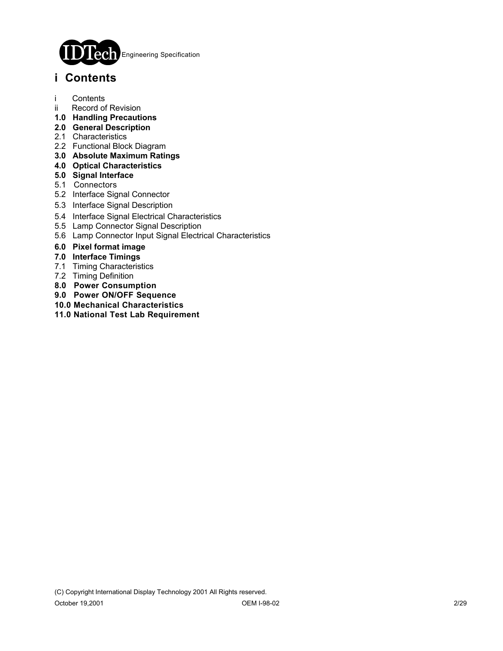

# **i Contents**

- i Contents
- ii Record of Revision
- **1.0 Handling Precautions**
- **2.0 General Description**
- 2.1 Characteristics
- 2.2 Functional Block Diagram
- **3.0 Absolute Maximum Ratings**
- **4.0 Optical Characteristics**
- **5.0 Signal Interface**
- 5.1 Connectors
- 5.2 Interface Signal Connector
- 5.3 Interface Signal Description
- 5.4 Interface Signal Electrical Characteristics
- 5.5 Lamp Connector Signal Description
- 5.6 Lamp Connector Input Signal Electrical Characteristics
- **6.0 Pixel format image**
- **7.0 Interface Timings**
- 7.1 Timing Characteristics
- 7.2 Timing Definition
- **8.0 Power Consumption**
- **9.0 Power ON/OFF Sequence**
- **10.0 Mechanical Characteristics**
- **11.0 National Test Lab Requirement**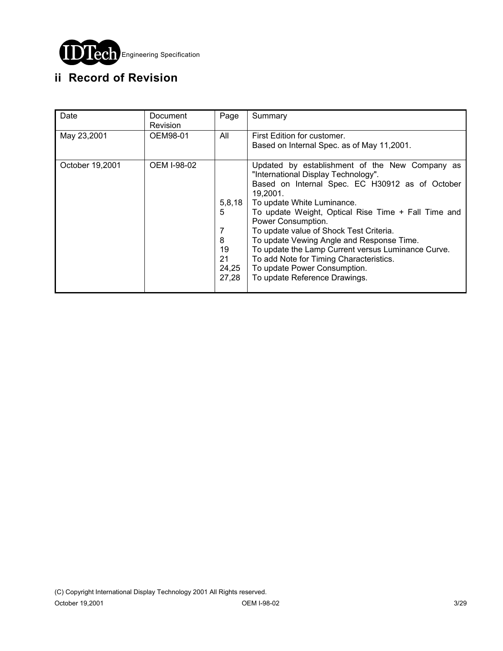

# **ii Record of Revision**

| Date            | Document<br><b>Revision</b> | Page                                                | Summary                                                                                                                                                                                                                                                                                                                                                                                                                                                                                                                   |
|-----------------|-----------------------------|-----------------------------------------------------|---------------------------------------------------------------------------------------------------------------------------------------------------------------------------------------------------------------------------------------------------------------------------------------------------------------------------------------------------------------------------------------------------------------------------------------------------------------------------------------------------------------------------|
| May 23,2001     | OEM98-01                    | All                                                 | First Edition for customer.<br>Based on Internal Spec. as of May 11,2001.                                                                                                                                                                                                                                                                                                                                                                                                                                                 |
| October 19,2001 | OEM I-98-02                 | 5,8,18<br>5<br>7<br>8<br>19<br>21<br>24,25<br>27,28 | Updated by establishment of the New Company as<br>"International Display Technology".<br>Based on Internal Spec. EC H30912 as of October<br>19.2001.<br>To update White Luminance.<br>To update Weight, Optical Rise Time + Fall Time and<br>Power Consumption.<br>To update value of Shock Test Criteria.<br>To update Vewing Angle and Response Time.<br>To update the Lamp Current versus Luminance Curve.<br>To add Note for Timing Characteristics.<br>To update Power Consumption.<br>To update Reference Drawings. |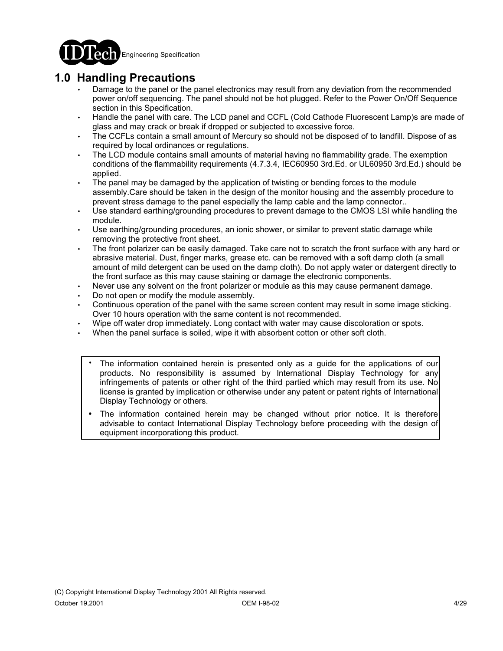

## **1.0 Handling Precautions**

- Damage to the panel or the panel electronics may result from any deviation from the recommended power on/off sequencing. The panel should not be hot plugged. Refer to the Power On/Off Sequence section in this Specification.
- Handle the panel with care. The LCD panel and CCFL (Cold Cathode Fluorescent Lamp)s are made of glass and may crack or break if dropped or subjected to excessive force.
- The CCFLs contain a small amount of Mercury so should not be disposed of to landfill. Dispose of as required by local ordinances or regulations.
- The LCD module contains small amounts of material having no flammability grade. The exemption conditions of the flammability requirements (4.7.3.4, IEC60950 3rd.Ed. or UL60950 3rd.Ed.) should be applied.
- The panel may be damaged by the application of twisting or bending forces to the module assembly.Care should be taken in the design of the monitor housing and the assembly procedure to prevent stress damage to the panel especially the lamp cable and the lamp connector..
- Use standard earthing/grounding procedures to prevent damage to the CMOS LSI while handling the module.
- Use earthing/grounding procedures, an ionic shower, or similar to prevent static damage while removing the protective front sheet.
- The front polarizer can be easily damaged. Take care not to scratch the front surface with any hard or abrasive material. Dust, finger marks, grease etc. can be removed with a soft damp cloth (a small amount of mild detergent can be used on the damp cloth). Do not apply water or datergent directly to the front surface as this may cause staining or damage the electronic components.
- Never use any solvent on the front polarizer or module as this may cause permanent damage.
- Do not open or modify the module assembly.
- Continuous operation of the panel with the same screen content may result in some image sticking. Over 10 hours operation with the same content is not recommended.
- Wipe off water drop immediately. Long contact with water may cause discoloration or spots.
- When the panel surface is soiled, wipe it with absorbent cotton or other soft cloth.
	- The information contained herein is presented only as a guide for the applications of our products. No responsibility is assumed by International Display Technology for any infringements of patents or other right of the third partied which may result from its use. No license is granted by implication or otherwise under any patent or patent rights of International Display Technology or others. .
	- The information contained herein may be changed without prior notice. It is therefore advisable to contact International Display Technology before proceeding with the design of equipment incorporationg this product. .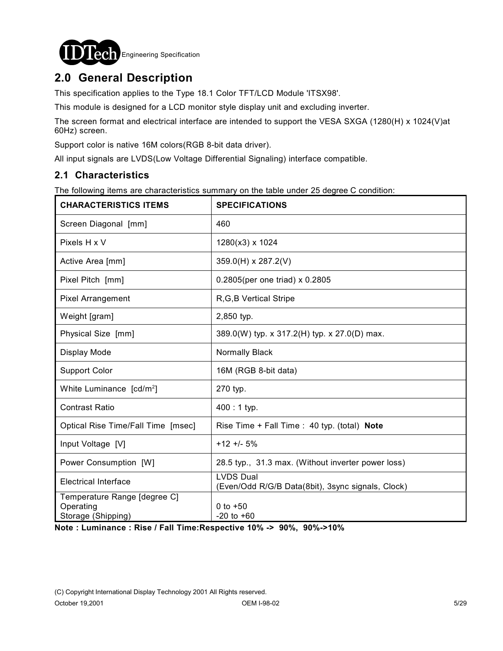

# **2.0 General Description**

This specification applies to the Type 18.1 Color TFT/LCD Module 'ITSX98'.

This module is designed for a LCD monitor style display unit and excluding inverter.

The screen format and electrical interface are intended to support the VESA SXGA (1280(H) x 1024(V)at 60Hz) screen.

Support color is native 16M colors(RGB 8-bit data driver).

All input signals are LVDS(Low Voltage Differential Signaling) interface compatible.

### **2.1 Characteristics**

The following items are characteristics summary on the table under 25 degree C condition:

| <b>CHARACTERISTICS ITEMS</b>                                    | <b>SPECIFICATIONS</b>                                                 |
|-----------------------------------------------------------------|-----------------------------------------------------------------------|
| Screen Diagonal [mm]                                            | 460                                                                   |
| Pixels H x V                                                    | 1280(x3) x 1024                                                       |
| Active Area [mm]                                                | 359.0(H) x 287.2(V)                                                   |
| Pixel Pitch [mm]                                                | 0.2805(per one triad) x 0.2805                                        |
| Pixel Arrangement                                               | R, G, B Vertical Stripe                                               |
| Weight [gram]                                                   | 2,850 typ.                                                            |
| Physical Size [mm]                                              | 389.0(W) typ. x 317.2(H) typ. x 27.0(D) max.                          |
| Display Mode                                                    | Normally Black                                                        |
| <b>Support Color</b>                                            | 16M (RGB 8-bit data)                                                  |
| White Luminance [cd/m <sup>2</sup> ]                            | 270 typ.                                                              |
| <b>Contrast Ratio</b>                                           | $400:1$ typ.                                                          |
| Optical Rise Time/Fall Time [msec]                              | Rise Time + Fall Time : 40 typ. (total) Note                          |
| Input Voltage [V]                                               | $+12 + 5%$                                                            |
| Power Consumption [W]                                           | 28.5 typ., 31.3 max. (Without inverter power loss)                    |
| <b>Electrical Interface</b>                                     | <b>LVDS Dual</b><br>(Even/Odd R/G/B Data(8bit), 3sync signals, Clock) |
| Temperature Range [degree C]<br>Operating<br>Storage (Shipping) | 0 to $+50$<br>$-20$ to $+60$                                          |

**Note : Luminance : Rise / Fall Time:Respective 10% -> 90%, 90%->10%**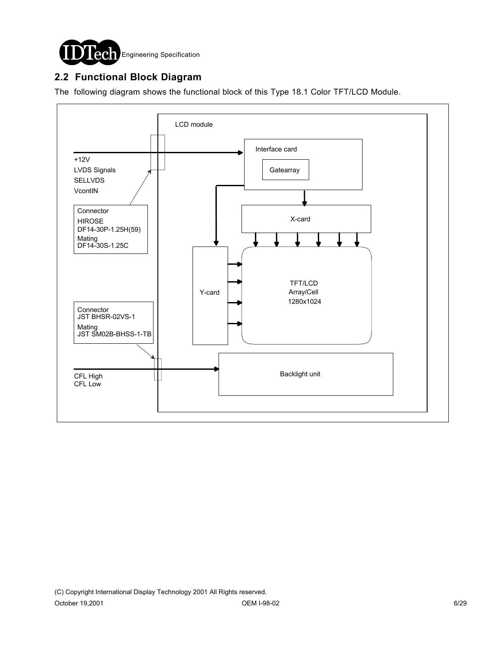

### **2.2 Functional Block Diagram**

The following diagram shows the functional block of this Type 18.1 Color TFT/LCD Module.

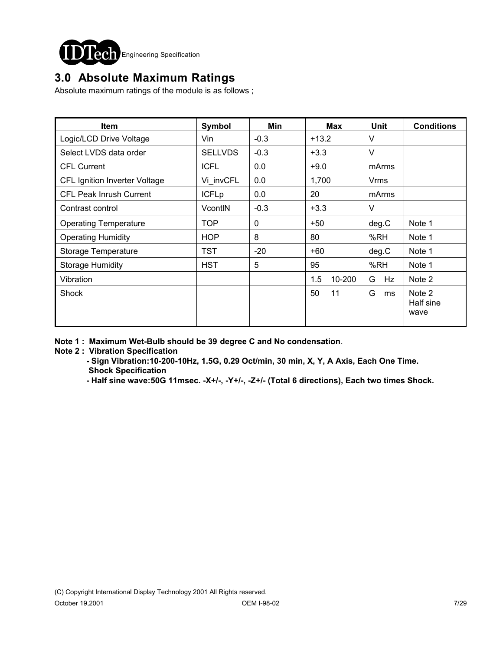

# **3.0 Absolute Maximum Ratings**

Absolute maximum ratings of the module is as follows ;

| Item                           | Symbol         | Min      | Max           | Unit    | <b>Conditions</b>           |
|--------------------------------|----------------|----------|---------------|---------|-----------------------------|
| Logic/LCD Drive Voltage        | Vin            | $-0.3$   | $+13.2$       | V       |                             |
| Select LVDS data order         | <b>SELLVDS</b> | $-0.3$   | $+3.3$        | $\vee$  |                             |
| <b>CFL Current</b>             | <b>ICFL</b>    | 0.0      | $+9.0$        | mArms   |                             |
| CFL Ignition Inverter Voltage  | Vi invCFL      | 0.0      | 1,700         | Vrms    |                             |
| <b>CFL Peak Inrush Current</b> | <b>ICFLp</b>   | 0.0      | 20            | mArms   |                             |
| Contrast control               | VcontIN        | $-0.3$   | $+3.3$        | $\vee$  |                             |
| <b>Operating Temperature</b>   | TOP            | $\Omega$ | $+50$         | deg.C   | Note 1                      |
| <b>Operating Humidity</b>      | <b>HOP</b>     | 8        | 80            | %RH     | Note 1                      |
| Storage Temperature            | <b>TST</b>     | $-20$    | $+60$         | deg.C   | Note 1                      |
| <b>Storage Humidity</b>        | <b>HST</b>     | 5        | 95            | %RH     | Note 1                      |
| Vibration                      |                |          | 10-200<br>1.5 | G<br>Hz | Note 2                      |
| Shock                          |                |          | 11<br>50      | G<br>ms | Note 2<br>Half sine<br>wave |

**Note 1 : Maximum Wet-Bulb should be 39 degree C and No condensation**.

**Note 2 : Vibration Specification**

 **- Sign Vibration:10-200-10Hz, 1.5G, 0.29 Oct/min, 30 min, X, Y, A Axis, Each One Time. Shock Specification**

 **- Half sine wave:50G 11msec. -X+/-, -Y+/-, -Z+/- (Total 6 directions), Each two times Shock.**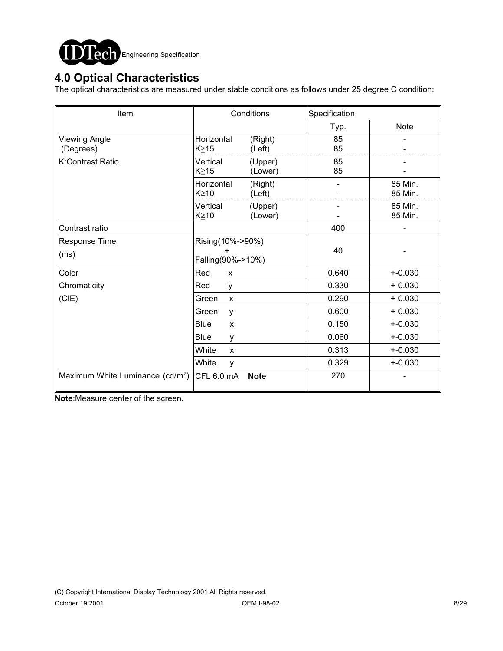

## **4.0 Optical Characteristics**

The optical characteristics are measured under stable conditions as follows under 25 degree C condition:

| Item                                         | Conditions                             |                    | Specification            |                    |
|----------------------------------------------|----------------------------------------|--------------------|--------------------------|--------------------|
|                                              |                                        |                    | Typ.                     | <b>Note</b>        |
| <b>Viewing Angle</b><br>(Degrees)            | Horizontal<br>K≥15                     | (Right)<br>(Left)  | 85<br>85                 |                    |
| K:Contrast Ratio                             | Vertical<br>(Upper)<br>K≧15<br>(Lower) |                    | 85<br>85                 |                    |
|                                              | Horizontal<br>K≥10                     | (Right)<br>(Left)  | $\overline{\phantom{0}}$ | 85 Min.<br>85 Min. |
|                                              | Vertical<br>K≧10                       | (Upper)<br>(Lower) |                          | 85 Min.<br>85 Min. |
| Contrast ratio                               |                                        |                    | 400                      |                    |
| Response Time<br>(ms)                        | Rising(10%->90%)<br>Falling(90%->10%)  |                    | 40                       |                    |
| Color                                        | Red<br>X                               |                    | 0.640                    | $+ -0.030$         |
| Chromaticity                                 | Red<br>y                               |                    | 0.330                    | $+ -0.030$         |
| (CIE)                                        | Green<br>$\mathsf{x}$                  |                    | 0.290                    | $+ -0.030$         |
|                                              | Green<br>y                             |                    | 0.600                    | $+ -0.030$         |
|                                              | <b>Blue</b><br>$\pmb{\chi}$            |                    | 0.150                    | $+ -0.030$         |
|                                              | Blue<br>y                              |                    | 0.060                    | $+ -0.030$         |
|                                              | White<br>$\pmb{\chi}$                  |                    | 0.313                    | $+ -0.030$         |
|                                              | White<br>y                             |                    | 0.329                    | $+ -0.030$         |
| Maximum White Luminance (cd/m <sup>2</sup> ) | CFL 6.0 mA                             | <b>Note</b>        | 270                      |                    |

**Note**:Measure center of the screen.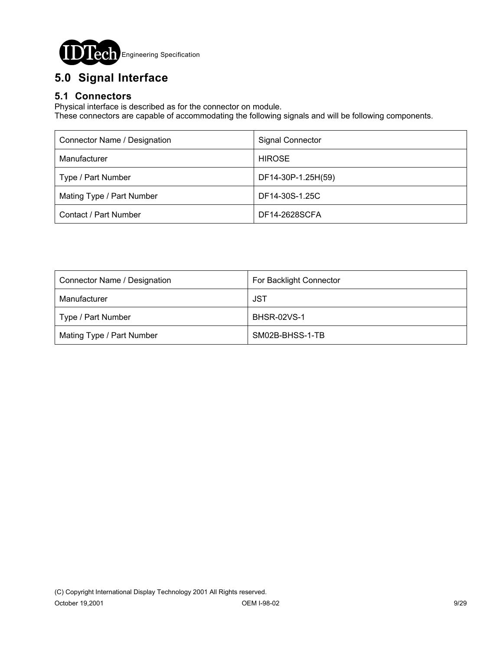

# **5.0 Signal Interface**

### **5.1 Connectors**

Physical interface is described as for the connector on module.

These connectors are capable of accommodating the following signals and will be following components.

| Connector Name / Designation | <b>Signal Connector</b> |
|------------------------------|-------------------------|
| Manufacturer                 | <b>HIROSE</b>           |
| Type / Part Number           | DF14-30P-1.25H(59)      |
| Mating Type / Part Number    | DF14-30S-1.25C          |
| Contact / Part Number        | DF14-2628SCFA           |

| Connector Name / Designation | For Backlight Connector |
|------------------------------|-------------------------|
| Manufacturer                 | JST                     |
| Type / Part Number           | <b>BHSR-02VS-1</b>      |
| Mating Type / Part Number    | SM02B-BHSS-1-TB         |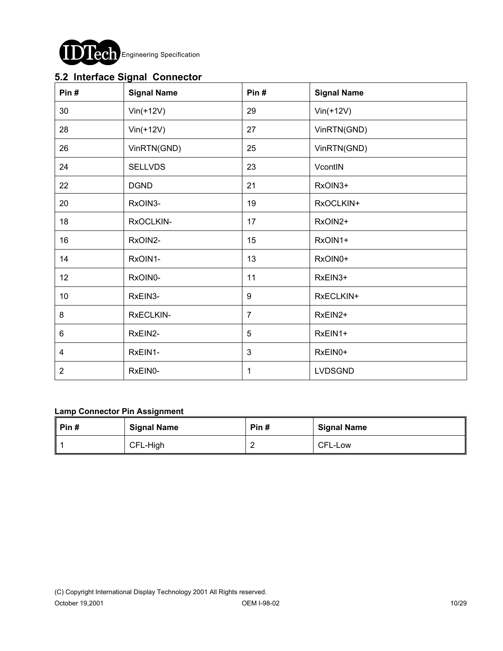

### **5.2 Interface Signal Connector**

| Pin#            | <b>Signal Name</b> | Pin#           | <b>Signal Name</b> |
|-----------------|--------------------|----------------|--------------------|
| 30              | $Vin(+12V)$        | 29             | $Vin(+12V)$        |
| 28              | $Vin(+12V)$        | 27             | VinRTN(GND)        |
| 26              | VinRTN(GND)        | 25             | VinRTN(GND)        |
| 24              | <b>SELLVDS</b>     | 23             | VcontIN            |
| 22              | <b>DGND</b>        | 21             | RxOIN3+            |
| 20              | RxOIN3-            | 19             | RxOCLKIN+          |
| 18              | RxOCLKIN-          | 17             | RxOIN2+            |
| 16              | RxOIN2-            | 15             | RxOIN1+            |
| 14              | RxOIN1-            | 13             | RxOIN0+            |
| 12 <sub>2</sub> | RxOIN0-            | 11             | RxEIN3+            |
| 10 <sup>°</sup> | RxEIN3-            | 9              | RxECLKIN+          |
| 8               | RxECLKIN-          | $\overline{7}$ | RxEIN2+            |
| 6               | RxEIN2-            | 5              | RxEIN1+            |
| 4               | RxEIN1-            | 3              | RxEIN0+            |
| $\sqrt{2}$      | RxEIN0-            | 1              | LVDSGND            |

#### **Lamp Connector Pin Assignment**

| $\parallel$ Pin # | <b>Signal Name</b> | Pin# | <b>Signal Name</b> |
|-------------------|--------------------|------|--------------------|
|                   | CFL-High           |      | CFL-Low            |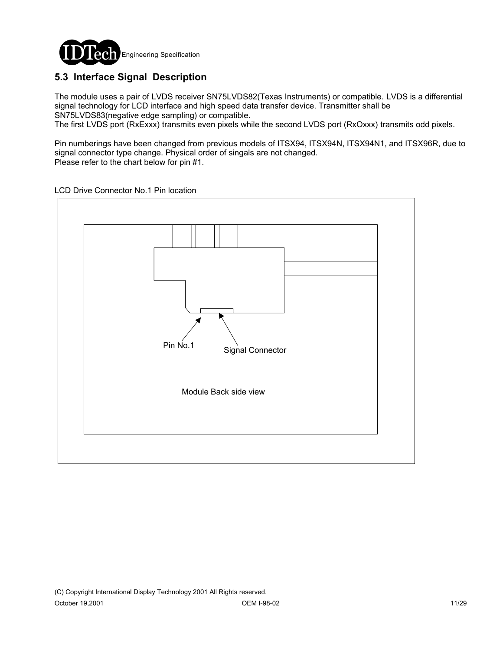

## **5.3 Interface Signal Description**

The module uses a pair of LVDS receiver SN75LVDS82(Texas Instruments) or compatible. LVDS is a differential signal technology for LCD interface and high speed data transfer device. Transmitter shall be SN75LVDS83(negative edge sampling) or compatible.

The first LVDS port (RxExxx) transmits even pixels while the second LVDS port (RxOxxx) transmits odd pixels.

Pin numberings have been changed from previous models of ITSX94, ITSX94N, ITSX94N1, and ITSX96R, due to signal connector type change. Physical order of singals are not changed. Please refer to the chart below for pin #1.

LCD Drive Connector No.1 Pin location

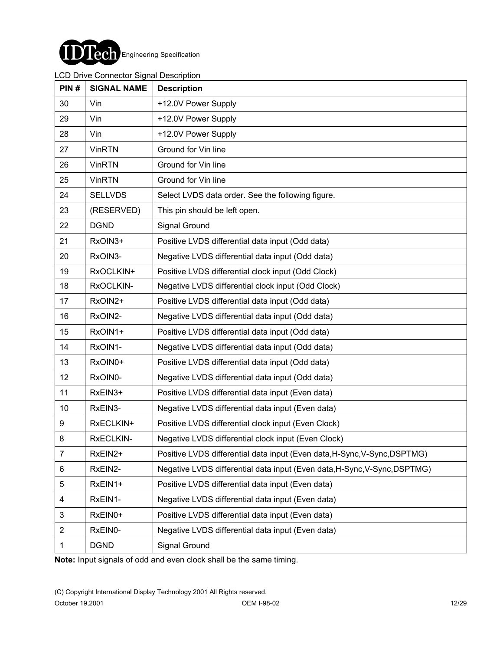

#### LCD Drive Connector Signal Description

| PIN#           | <b>SIGNAL NAME</b> | <b>Description</b>                                                        |
|----------------|--------------------|---------------------------------------------------------------------------|
| 30             | Vin                | +12.0V Power Supply                                                       |
| 29             | Vin                | +12.0V Power Supply                                                       |
| 28             | Vin                | +12.0V Power Supply                                                       |
| 27             | <b>VinRTN</b>      | Ground for Vin line                                                       |
| 26             | <b>VinRTN</b>      | Ground for Vin line                                                       |
| 25             | <b>VinRTN</b>      | Ground for Vin line                                                       |
| 24             | <b>SELLVDS</b>     | Select LVDS data order. See the following figure.                         |
| 23             | (RESERVED)         | This pin should be left open.                                             |
| 22             | <b>DGND</b>        | Signal Ground                                                             |
| 21             | RxOIN3+            | Positive LVDS differential data input (Odd data)                          |
| 20             | RxOIN3-            | Negative LVDS differential data input (Odd data)                          |
| 19             | RxOCLKIN+          | Positive LVDS differential clock input (Odd Clock)                        |
| 18             | RxOCLKIN-          | Negative LVDS differential clock input (Odd Clock)                        |
| 17             | RxOIN2+            | Positive LVDS differential data input (Odd data)                          |
| 16             | RxOIN2-            | Negative LVDS differential data input (Odd data)                          |
| 15             | RxOIN1+            | Positive LVDS differential data input (Odd data)                          |
| 14             | RxOIN1-            | Negative LVDS differential data input (Odd data)                          |
| 13             | RxOIN0+            | Positive LVDS differential data input (Odd data)                          |
| 12             | RxOIN0-            | Negative LVDS differential data input (Odd data)                          |
| 11             | RxEIN3+            | Positive LVDS differential data input (Even data)                         |
| 10             | RxEIN3-            | Negative LVDS differential data input (Even data)                         |
| 9              | RxECLKIN+          | Positive LVDS differential clock input (Even Clock)                       |
| 8              | RxECLKIN-          | Negative LVDS differential clock input (Even Clock)                       |
| $\overline{7}$ | RxEIN2+            | Positive LVDS differential data input (Even data, H-Sync, V-Sync, DSPTMG) |
| 6              | RxEIN2-            | Negative LVDS differential data input (Even data, H-Sync, V-Sync, DSPTMG) |
| 5              | RxEIN1+            | Positive LVDS differential data input (Even data)                         |
| 4              | RxEIN1-            | Negative LVDS differential data input (Even data)                         |
| 3              | RxEIN0+            | Positive LVDS differential data input (Even data)                         |
| $\overline{2}$ | RxEIN0-            | Negative LVDS differential data input (Even data)                         |
| 1              | <b>DGND</b>        | Signal Ground                                                             |

**Note:** Input signals of odd and even clock shall be the same timing.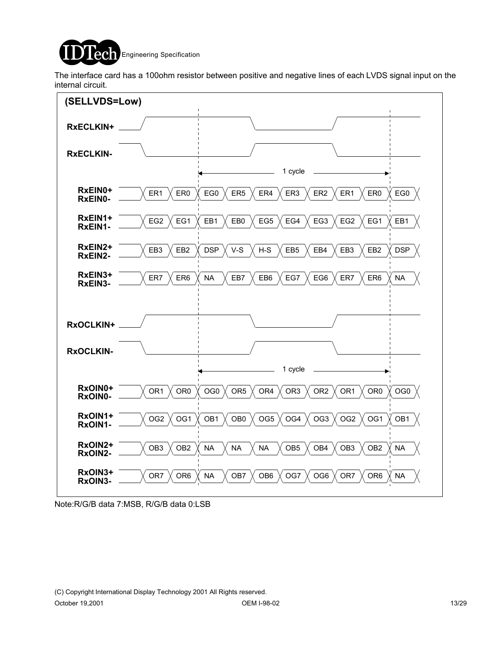

The interface card has a 100ohm resistor between positive and negative lines of each LVDS signal input on the internal circuit.



Note:R/G/B data 7:MSB, R/G/B data 0:LSB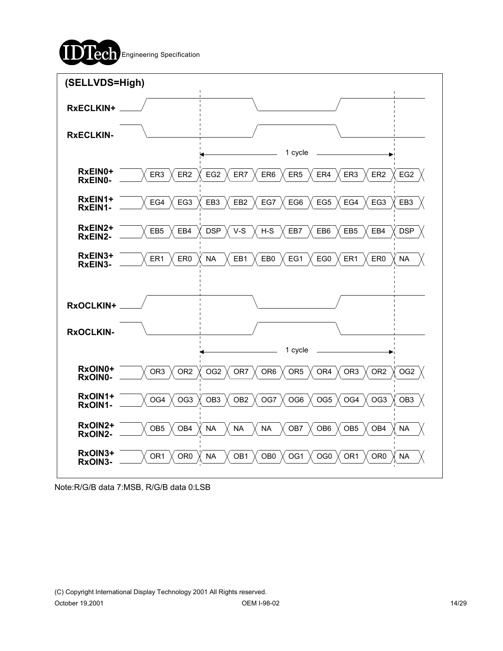



Note:R/G/B data 7:MSB, R/G/B data 0:LSB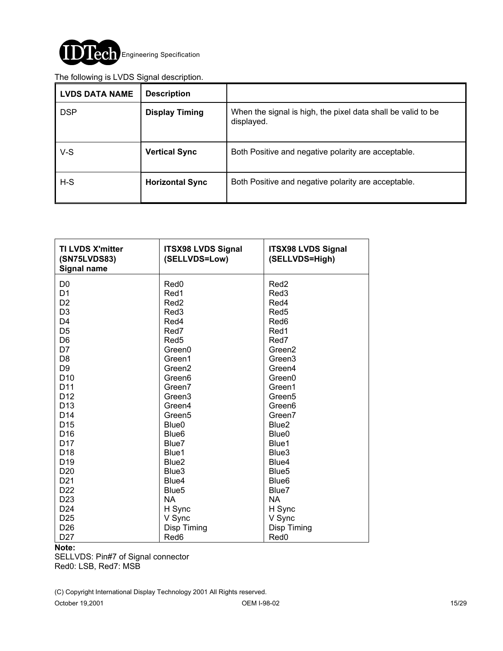

#### The following is LVDS Signal description.

| <b>LVDS DATA NAME</b> | <b>Description</b>     |                                                                            |
|-----------------------|------------------------|----------------------------------------------------------------------------|
| <b>DSP</b>            | <b>Display Timing</b>  | When the signal is high, the pixel data shall be valid to be<br>displayed. |
| $V-S$                 | <b>Vertical Sync</b>   | Both Positive and negative polarity are acceptable.                        |
| $H-S$                 | <b>Horizontal Sync</b> | Both Positive and negative polarity are acceptable.                        |

| <b>TI LVDS X'mitter</b><br>(SN75LVDS83)<br><b>Signal name</b> | <b>ITSX98 LVDS Signal</b><br>(SELLVDS=Low) | <b>ITSX98 LVDS Signal</b><br>(SELLVDS=High) |
|---------------------------------------------------------------|--------------------------------------------|---------------------------------------------|
| D <sub>0</sub>                                                | Red <sub>0</sub>                           | Red <sub>2</sub>                            |
| D <sub>1</sub>                                                | Red1                                       | Red <sub>3</sub>                            |
| D <sub>2</sub>                                                | Red <sub>2</sub>                           | Red4                                        |
| D <sub>3</sub>                                                | Red <sub>3</sub>                           | Red <sub>5</sub>                            |
| D <sub>4</sub>                                                | Red4                                       | Red <sub>6</sub>                            |
| D <sub>5</sub>                                                | Red7                                       | Red1                                        |
| D <sub>6</sub>                                                | Red <sub>5</sub>                           | Red7                                        |
| D7                                                            | Green0                                     | Green <sub>2</sub>                          |
| D <sub>8</sub>                                                | Green1                                     | Green <sub>3</sub>                          |
| D <sub>9</sub>                                                | Green <sub>2</sub>                         | Green4                                      |
| D <sub>10</sub>                                               | Green <sub>6</sub>                         | Green0                                      |
| D <sub>11</sub>                                               | Green7                                     | Green1                                      |
| D <sub>12</sub>                                               | Green <sub>3</sub>                         | Green <sub>5</sub>                          |
| D <sub>13</sub>                                               | Green4                                     | Green <sub>6</sub>                          |
| D <sub>14</sub>                                               | Green <sub>5</sub>                         | Green7                                      |
| D <sub>15</sub>                                               | Blue <sub>0</sub>                          | Blue <sub>2</sub>                           |
| D <sub>16</sub>                                               | Blue <sub>6</sub>                          | Blue <sub>0</sub>                           |
| D <sub>17</sub>                                               | Blue7                                      | Blue1                                       |
| D <sub>18</sub>                                               | Blue1                                      | Blue3                                       |
| D <sub>19</sub>                                               | Blue <sub>2</sub>                          | Blue4                                       |
| D <sub>20</sub>                                               | Blue3                                      | Blue <sub>5</sub>                           |
| D <sub>21</sub>                                               | Blue4                                      | Blue <sub>6</sub>                           |
| D <sub>22</sub>                                               | Blue <sub>5</sub>                          | Blue7                                       |
| D <sub>23</sub>                                               | <b>NA</b>                                  | <b>NA</b>                                   |
| D <sub>24</sub>                                               | H Sync                                     | H Sync                                      |
| D <sub>25</sub>                                               | V Sync                                     | V Sync                                      |
| D <sub>26</sub>                                               | Disp Timing                                | Disp Timing                                 |
| D <sub>27</sub>                                               | Red6                                       | Red <sub>0</sub>                            |

#### **Note:**

SELLVDS: Pin#7 of Signal connector Red0: LSB, Red7: MSB

(C) Copyright International Display Technology 2001 All Rights reserved.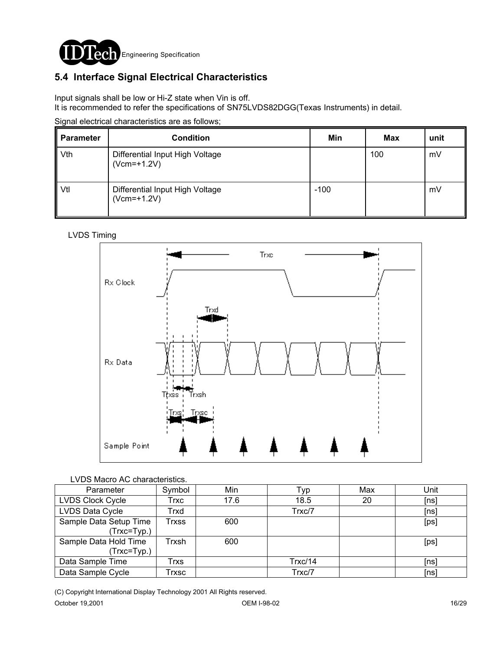

## **5.4 Interface Signal Electrical Characteristics**

Input signals shall be low or Hi-Z state when Vin is off.

It is recommended to refer the specifications of SN75LVDS82DGG(Texas Instruments) in detail.

|  | Signal electrical characteristics are as follows; |  |
|--|---------------------------------------------------|--|
|  |                                                   |  |

| <b>Parameter</b> | <b>Condition</b>                                 | Min    | Max | unit |
|------------------|--------------------------------------------------|--------|-----|------|
| Vth              | Differential Input High Voltage<br>$(Vcm=+1.2V)$ |        | 100 | mV   |
| Vtl              | Differential Input High Voltage<br>$(Vcm=+1.2V)$ | $-100$ |     | mV   |

#### LVDS Timing



#### LVDS Macro AC characteristics.

| Parameter                              | Symbol | Min  | Typ     | Max | Unit |
|----------------------------------------|--------|------|---------|-----|------|
| LVDS Clock Cycle                       | Trxc   | 17.6 | 18.5    | 20  | [ns] |
| LVDS Data Cycle                        | Trxd   |      | Trxc/7  |     | [ns] |
| Sample Data Setup Time<br>(Trxc=Typ.)  | Trxss  | 600  |         |     | [ps] |
| Sample Data Hold Time<br>$(Trxc=Typ.)$ | Trxsh  | 600  |         |     | [ps] |
| Data Sample Time                       | Trxs   |      | Trxc/14 |     | [ns] |
| Data Sample Cycle                      | Txsc   |      | Trxc/7  |     | [ns] |

(C) Copyright International Display Technology 2001 All Rights reserved.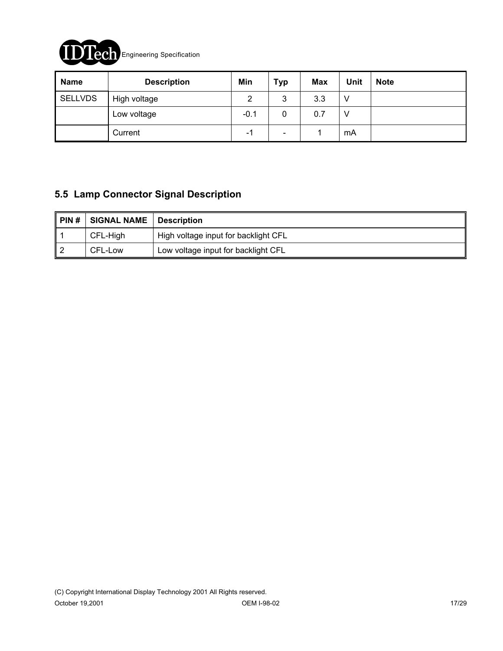

| <b>Name</b>    | <b>Description</b> | Min    | <b>Typ</b>               | <b>Max</b> | Unit | <b>Note</b> |
|----------------|--------------------|--------|--------------------------|------------|------|-------------|
| <b>SELLVDS</b> | High voltage       | 2      | 3                        | 3.3        |      |             |
|                | Low voltage        | $-0.1$ | 0                        | 0.7        |      |             |
|                | Current            | - 1    | $\overline{\phantom{0}}$ |            | mA   |             |

### **5.5 Lamp Connector Signal Description**

| PIN# | <b>SIGNAL NAME</b> | <b>Description</b>                   |
|------|--------------------|--------------------------------------|
|      | CFL-High           | High voltage input for backlight CFL |
|      | CFL-Low            | Low voltage input for backlight CFL  |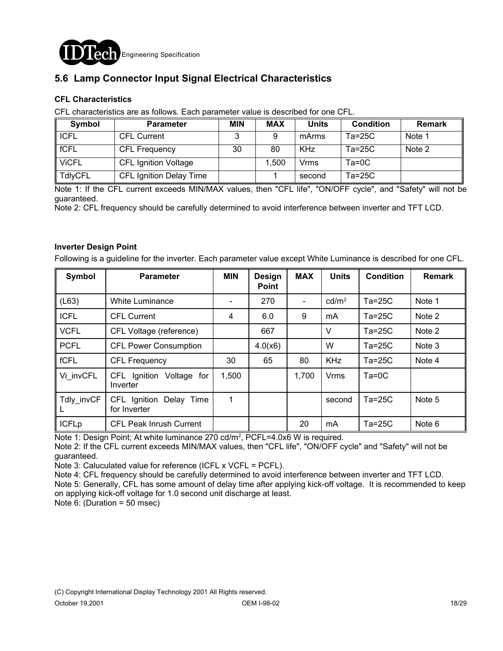

### **5.6 Lamp Connector Input Signal Electrical Characteristics**

#### **CFL Characteristics**

CFL characteristics are as follows. Each parameter value is described for one CFL.

| Symbol         | <b>Parameter</b>               | <b>MIN</b> | <b>MAX</b> | Units      | <b>Condition</b> | <b>Remark</b> |
|----------------|--------------------------------|------------|------------|------------|------------------|---------------|
| <b>ICFL</b>    | <b>CFL Current</b>             |            |            | mArms      | $Ta=25C$         | Note 1        |
| fCFL           | <b>CFL Frequency</b>           | 30         | 80         | <b>KHz</b> | $Ta=25C$         | Note 2        |
| <b>ViCFL</b>   | <b>CFL Ignition Voltage</b>    |            | 1,500      | Vrms       | $Ta=0C$          |               |
| <b>TdlyCFL</b> | <b>CFL Ignition Delay Time</b> |            |            | second     | $Ta=25C$         |               |

Note 1: If the CFL current exceeds MIN/MAX values, then "CFL life", "ON/OFF cycle", and "Safety" will not be guaranteed.

Note 2: CFL frequency should be carefully determined to avoid interference between inverter and TFT LCD.

#### **Inverter Design Point**

Following is a guideline for the inverter. Each parameter value except White Luminance is described for one CFL.

| Symbol       | <b>Parameter</b>                           | <b>MIN</b> | Design<br><b>Point</b> | <b>MAX</b>               | <b>Units</b>      | <b>Condition</b> | <b>Remark</b> |
|--------------|--------------------------------------------|------------|------------------------|--------------------------|-------------------|------------------|---------------|
| (L63)        | <b>White Luminance</b>                     |            | 270                    | $\overline{\phantom{a}}$ | cd/m <sup>2</sup> | $Ta=25C$         | Note 1        |
| <b>ICFL</b>  | <b>CFL Current</b>                         | 4          | 6.0                    | 9                        | mA                | $Ta=25C$         | Note 2        |
| <b>VCFL</b>  | CFL Voltage (reference)                    |            | 667                    |                          | V                 | $Ta=25C$         | Note 2        |
| <b>PCFL</b>  | <b>CFL Power Consumption</b>               |            | 4.0(x6)                |                          | W                 | $Ta=25C$         | Note 3        |
| fCFL         | <b>CFL Frequency</b>                       | 30         | 65                     | 80                       | <b>KHz</b>        | $Ta=25C$         | Note 4        |
| Vi invCFL    | CFL Ignition Voltage for<br>Inverter       | 1,500      |                        | 1,700                    | <b>Vrms</b>       | $Ta=OC$          |               |
| Tdly invCF   | CFL Ignition<br>Delay Time<br>for Inverter | 1          |                        |                          | second            | $Ta=25C$         | Note 5        |
| <b>ICFLp</b> | CFL Peak Inrush Current                    |            |                        | 20                       | mA                | $Ta=25C$         | Note 6        |

Note 1: Design Point; At white luminance 270 cd/m<sup>2</sup>, PCFL=4.0x6 W is required.

Note 2: If the CFL current exceeds MIN/MAX values, then "CFL life", "ON/OFF cycle" and "Safety" will not be guaranteed.

Note 3: Caluculated value for reference (ICFL x VCFL = PCFL).

Note 4: CFL frequency should be carefully determined to avoid interference between inverter and TFT LCD.

Note 5: Generally, CFL has some amount of delay time after applying kick-off voltage. It is recommended to keep on applying kick-off voltage for 1.0 second unit discharge at least.

Note 6: (Duration = 50 msec)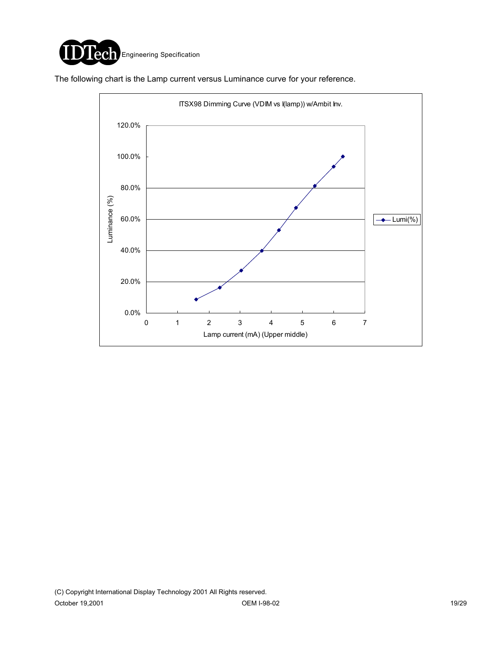

The following chart is the Lamp current versus Luminance curve for your reference.

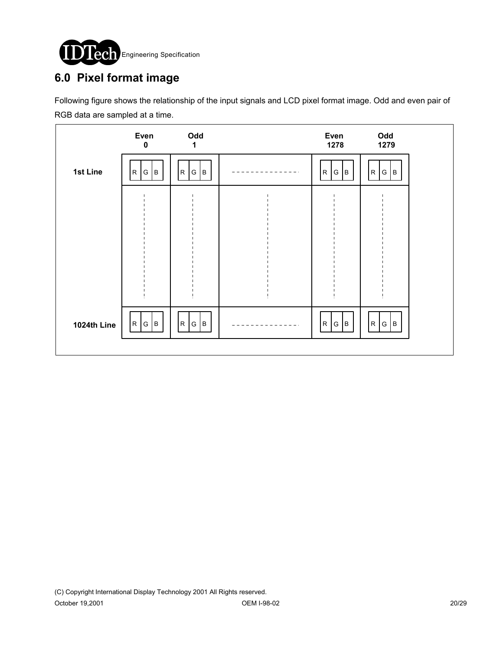

# **6.0 Pixel format image**

Following figure shows the relationship of the input signals and LCD pixel format image. Odd and even pair of RGB data are sampled at a time.

|             | Even<br>$\mathbf 0$ | Odd<br>1     | Even<br>1278                   | Odd<br>1279         |  |
|-------------|---------------------|--------------|--------------------------------|---------------------|--|
| 1st Line    | R<br>G   B          | R<br>B<br> G | B <br>$\mathsf{R}$<br> G       | G B<br>$\mathsf{R}$ |  |
|             |                     |              |                                |                     |  |
|             |                     |              |                                |                     |  |
|             |                     |              |                                |                     |  |
|             |                     |              |                                |                     |  |
| 1024th Line | R G B               | R<br>G<br>B  | $\mathsf{R}$<br><b>G</b><br> B | R G B               |  |
|             |                     |              |                                |                     |  |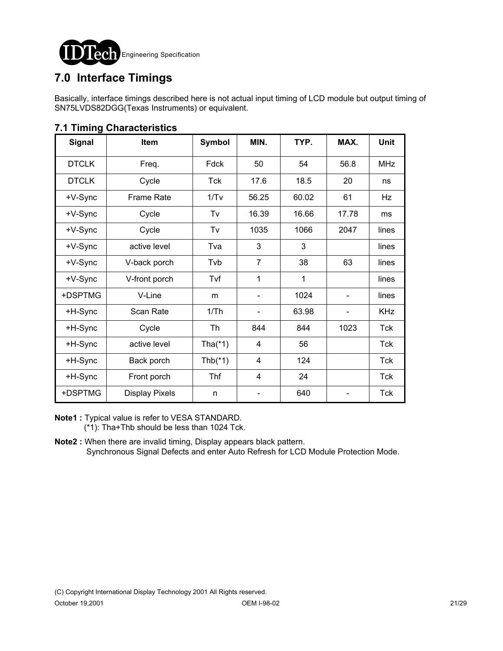

# **7.0 Interface Timings**

Basically, interface timings described here is not actual input timing of LCD module but output timing of SN75LVDS82DGG(Texas Instruments) or equivalent.

| <b>Signal</b> | Item                  | <b>Symbol</b> | MIN.           | TYP.  | MAX.  | <b>Unit</b> |
|---------------|-----------------------|---------------|----------------|-------|-------|-------------|
| <b>DTCLK</b>  | Freq.                 | Fdck          | 50             | 54    | 56.8  | <b>MHz</b>  |
| <b>DTCLK</b>  | Cycle                 | Tck           | 17.6           | 18.5  | 20    | ns          |
| +V-Sync       | <b>Frame Rate</b>     | 1/Tv          | 56.25          | 60.02 | 61    | Hz          |
| +V-Sync       | Cycle                 | Tv            | 16.39          | 16.66 | 17.78 | ms          |
| +V-Sync       | Cycle                 | Tv            | 1035           | 1066  | 2047  | lines       |
| +V-Sync       | active level          | Tva           | 3              | 3     |       | lines       |
| +V-Sync       | V-back porch          | Tvb           | $\overline{7}$ | 38    | 63    | lines       |
| +V-Sync       | V-front porch         | Tvf           | 1              | 1     |       | lines       |
| +DSPTMG       | V-Line                | m             |                | 1024  |       | lines       |
| +H-Sync       | Scan Rate             | 1/Th          |                | 63.98 |       | <b>KHz</b>  |
| +H-Sync       | Cycle                 | Th            | 844            | 844   | 1023  | Tck         |
| +H-Sync       | active level          | Tha $(*1)$    | 4              | 56    |       | Tck         |
| +H-Sync       | Back porch            | Thb $(*1)$    | 4              | 124   |       | <b>Tck</b>  |
| +H-Sync       | Front porch           | <b>Thf</b>    | $\overline{4}$ | 24    |       | <b>Tck</b>  |
| +DSPTMG       | <b>Display Pixels</b> | n             |                | 640   |       | Tck         |

### **7.1 Timing Characteristics**

**Note1 :** Typical value is refer to VESA STANDARD. (\*1): Tha+Thb should be less than 1024 Tck.

**Note2 :** When there are invalid timing, Display appears black pattern. Synchronous Signal Defects and enter Auto Refresh for LCD Module Protection Mode.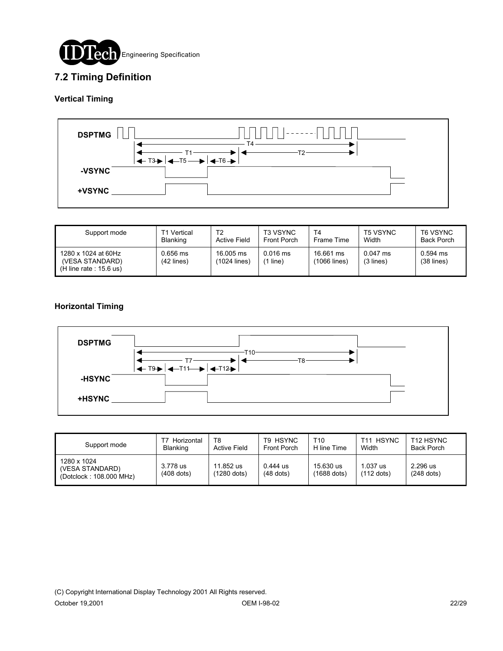

### **7.2 Timing Definition**

#### **Vertical Timing**



| Support mode                                                        | T1 Vertical              | T2                        | <b>T3 VSYNC</b>     | T <sub>4</sub>            | <b>T5 VSYNC</b>         | T6 VSYNC                   |
|---------------------------------------------------------------------|--------------------------|---------------------------|---------------------|---------------------------|-------------------------|----------------------------|
|                                                                     | <b>Blanking</b>          | <b>Active Field</b>       | <b>Front Porch</b>  | Frame Time                | Width                   | <b>Back Porch</b>          |
| 1280 x 1024 at 60Hz<br>(VESA STANDARD)<br>$(H$ line rate : 15.6 us) | 0.656 ms<br>$(42$ lines) | 16,005 ms<br>(1024 lines) | $0.016$ ms<br>line) | 16.661 ms<br>(1066 lines) | $0.047$ ms<br>(3 lines) | $0.594$ ms<br>$(38$ lines) |

#### **Horizontal Timing**



| Support mode                                              | Horizontal<br>Blanking   | T8<br>Active Field         | T9 HSYNC<br><b>Front Porch</b> | T10<br>H line Time         | <b>HSYNC</b><br>$T11$ .<br>Width | T <sub>12</sub> HSYNC<br>Back Porch |
|-----------------------------------------------------------|--------------------------|----------------------------|--------------------------------|----------------------------|----------------------------------|-------------------------------------|
| 1280 x 1024<br>(VESA STANDARD)<br>(Dotclock: 108.000 MHz) | 3.778 us<br>$(408$ dots) | 11.852 us<br>$(1280$ dots) | $0.444$ us<br>$(48$ dots)      | 15.630 us<br>$(1688$ dots) | $1.037$ us<br>$(112$ dots)       | 2.296 us<br>$(248$ dots)            |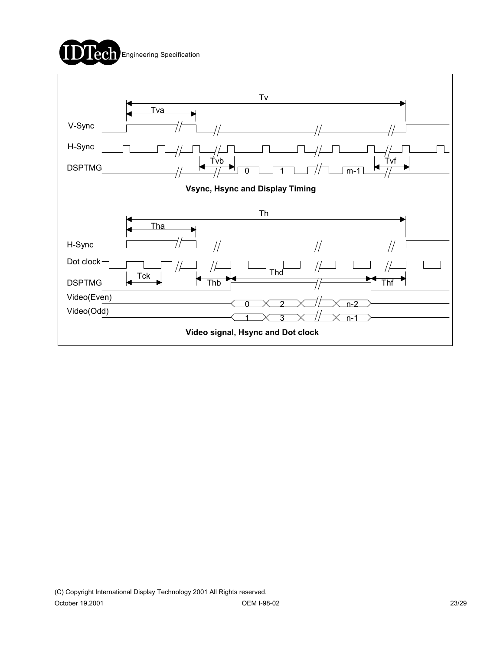

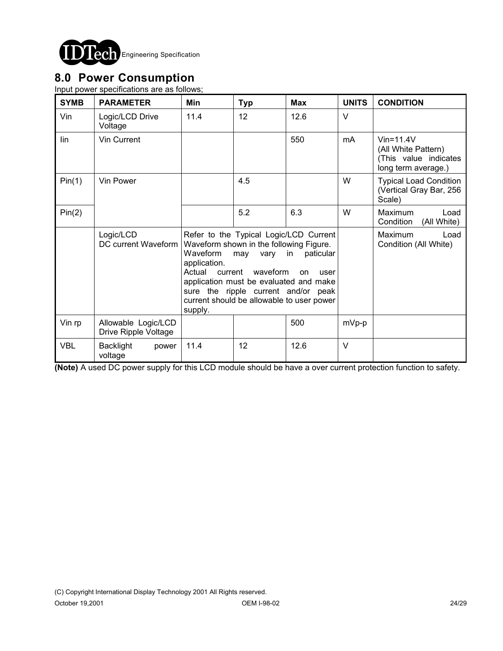

## **8.0 Power Consumption**

Input power specifications are as follows;

| <b>SYMB</b> | <b>PARAMETER</b>                            | Min                                                   | <b>Typ</b>                                                                                                                                                                                                                                    | <b>Max</b> | <b>UNITS</b>                                    | <b>CONDITION</b>                                                                       |
|-------------|---------------------------------------------|-------------------------------------------------------|-----------------------------------------------------------------------------------------------------------------------------------------------------------------------------------------------------------------------------------------------|------------|-------------------------------------------------|----------------------------------------------------------------------------------------|
| Vin         | Logic/LCD Drive<br>Voltage                  | 11.4                                                  | 12                                                                                                                                                                                                                                            | 12.6       | $\vee$                                          |                                                                                        |
| lin         | Vin Current                                 |                                                       |                                                                                                                                                                                                                                               | 550        | mA                                              | $V$ in=11.4 $V$<br>(All White Pattern)<br>(This value indicates<br>long term average.) |
| Pin(1)      | Vin Power                                   |                                                       | 4.5                                                                                                                                                                                                                                           |            | W                                               | <b>Typical Load Condition</b><br>(Vertical Gray Bar, 256<br>Scale)                     |
| Pin(2)      |                                             |                                                       | 5.2                                                                                                                                                                                                                                           | 6.3        | W                                               | <b>Maximum</b><br>Load<br>Condition<br>(All White)                                     |
|             | Logic/LCD<br>DC current Waveform            | Waveform<br>application.<br>Actual current<br>supply. | Refer to the Typical Logic/LCD Current<br>Waveform shown in the following Figure.<br>in<br>may vary<br>waveform<br>application must be evaluated and make<br>sure the ripple current and/or peak<br>current should be allowable to user power |            | <b>Maximum</b><br>Load<br>Condition (All White) |                                                                                        |
| Vin rp      | Allowable Logic/LCD<br>Drive Ripple Voltage |                                                       |                                                                                                                                                                                                                                               | 500        | $mVp-p$                                         |                                                                                        |
| <b>VBL</b>  | <b>Backlight</b><br>power<br>voltage        | 11.4                                                  | 12                                                                                                                                                                                                                                            | 12.6       | $\vee$                                          |                                                                                        |

**(Note)** A used DC power supply for this LCD module should be have a over current protection function to safety.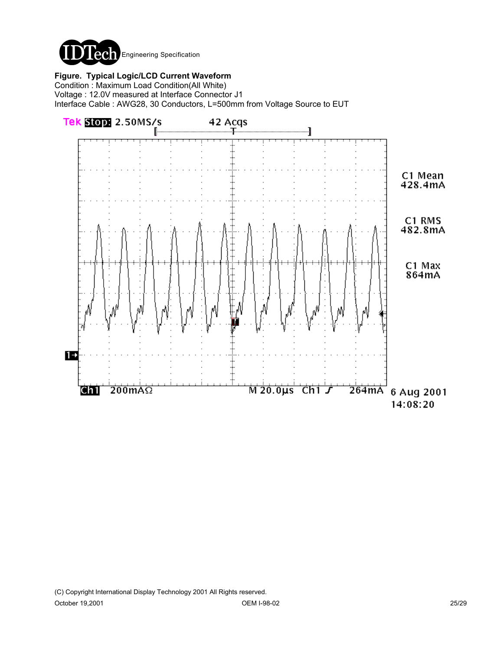

**Figure. Typical Logic/LCD Current Waveform**

Condition : Maximum Load Condition(All White) Voltage : 12.0V measured at Interface Connector J1 Interface Cable : AWG28, 30 Conductors, L=500mm from Voltage Source to EUT

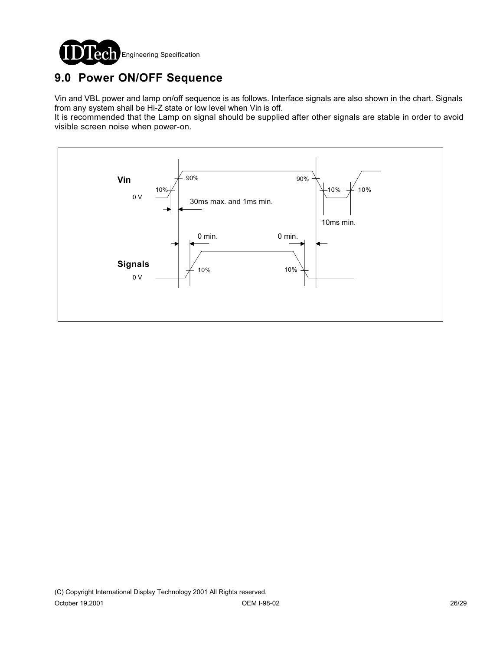

# **9.0 Power ON/OFF Sequence**

Vin and VBL power and lamp on/off sequence is as follows. Interface signals are also shown in the chart. Signals from any system shall be Hi-Z state or low level when Vin is off.

It is recommended that the Lamp on signal should be supplied after other signals are stable in order to avoid visible screen noise when power-on.

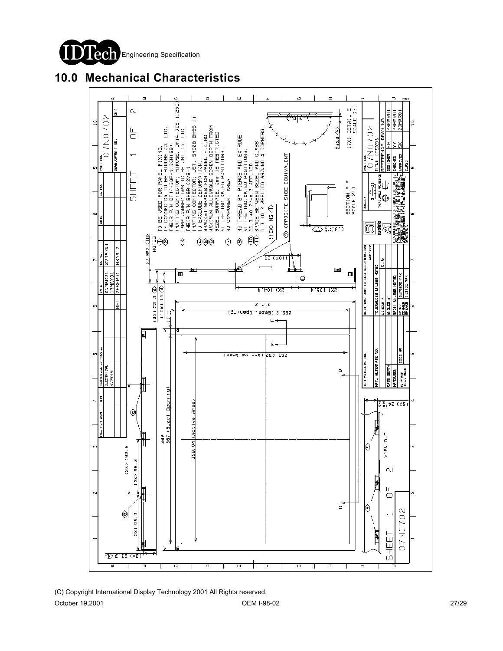



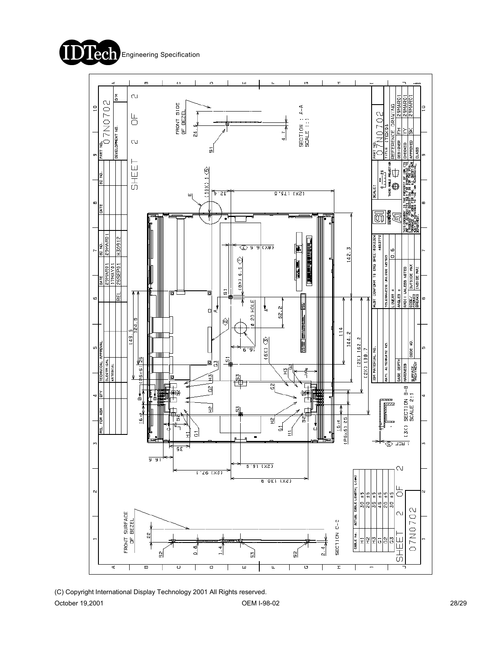